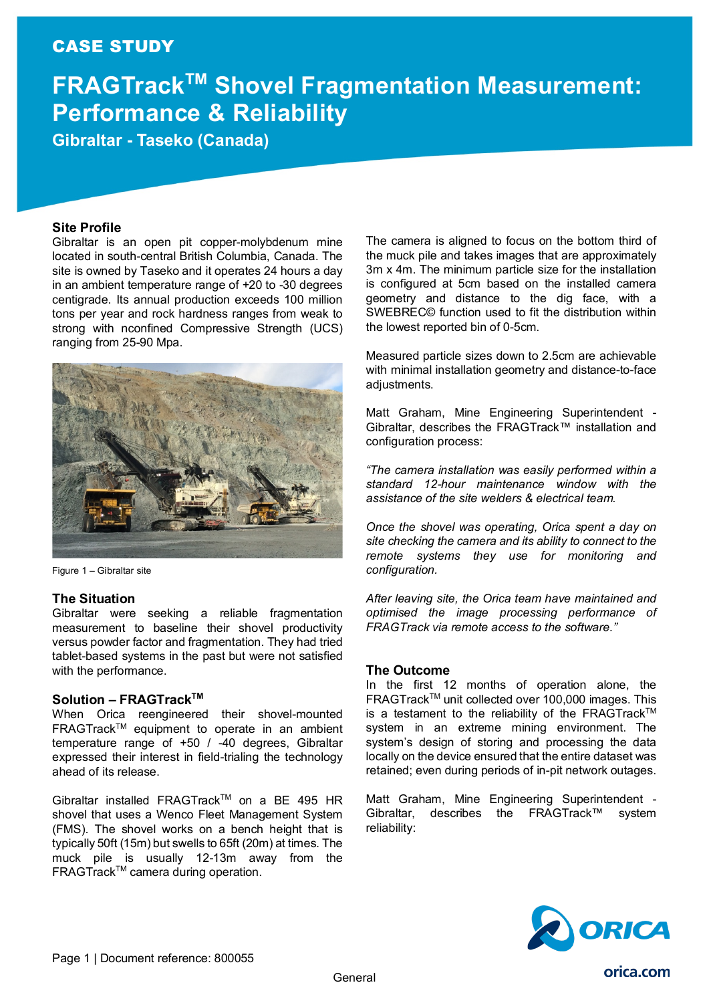## CASE STUDY

# **FRAGTrackTM Shovel Fragmentation Measurement: Performance & Reliability**

**Gibraltar - Taseko (Canada)**

## **Site Profile**

Gibraltar is an open pit copper-molybdenum mine located in south-central British Columbia, Canada. The site is owned by Taseko and it operates 24 hours a day in an ambient temperature range of +20 to -30 degrees centigrade. Its annual production exceeds 100 million tons per year and rock hardness ranges from weak to strong with nconfined Compressive Strength (UCS) ranging from 25-90 Mpa.



Figure 1 – Gibraltar site

### **The Situation**

Gibraltar were seeking a reliable fragmentation measurement to baseline their shovel productivity versus powder factor and fragmentation. They had tried tablet-based systems in the past but were not satisfied with the performance.

### **Solution – FRAGTrackTM**

When Orica reengineered their shovel-mounted FRAGTrackTM equipment to operate in an ambient temperature range of +50 / -40 degrees, Gibraltar expressed their interest in field-trialing the technology ahead of its release.

Gibraltar installed FRAGTrack™ on a BE 495 HR shovel that uses a Wenco Fleet Management System (FMS). The shovel works on a bench height that is typically 50ft (15m) but swells to 65ft (20m) at times. The muck pile is usually 12-13m away from the FRAGTrack<sup>™</sup> camera during operation.

The camera is aligned to focus on the bottom third of the muck pile and takes images that are approximately 3m x 4m. The minimum particle size for the installation is configured at 5cm based on the installed camera geometry and distance to the dig face, with a SWEBREC© function used to fit the distribution within the lowest reported bin of 0-5cm.

Measured particle sizes down to 2.5cm are achievable with minimal installation geometry and distance-to-face adjustments.

Matt Graham, Mine Engineering Superintendent - Gibraltar, describes the FRAGTrack™ installation and configuration process:

*"The camera installation was easily performed within a standard 12-hour maintenance window with the assistance of the site welders & electrical team.*

*Once the shovel was operating, Orica spent a day on site checking the camera and its ability to connect to the remote systems they use for monitoring and configuration.*

*After leaving site, the Orica team have maintained and optimised the image processing performance of FRAGTrack via remote access to the software."*

## **The Outcome**

In the first 12 months of operation alone, the FRAGTrackTM unit collected over 100,000 images. This is a testament to the reliability of the FRAGTrack™ system in an extreme mining environment. The system's design of storing and processing the data locally on the device ensured that the entire dataset was retained; even during periods of in-pit network outages.

Matt Graham, Mine Engineering Superintendent - Gibraltar, describes the FRAGTrack™ system reliability:



orica.com